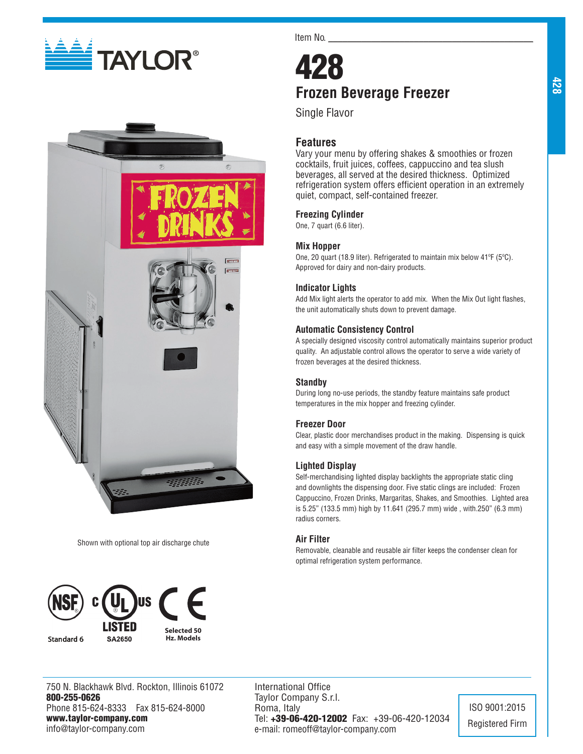



Shown with optional top air discharge chute



750 N. Blackhawk Blvd. Rockton, Illinois 61072 800-255-0626 Phone 815-624-8333 Fax 815-624-8000 www.taylor-company.com info@taylor-company.com

Item No.

# 428 **Frozen Beverage Freezer**

Single Flavor

# **Features**

Vary your menu by offering shakes & smoothies or frozen cocktails, fruit juices, coffees, cappuccino and tea slush beverages, all served at the desired thickness. Optimized refrigeration system offers efficient operation in an extremely quiet, compact, self-contained freezer.

#### **Freezing Cylinder**

One, 7 quart (6.6 liter).

#### **Mix Hopper**

One, 20 quart (18.9 liter). Refrigerated to maintain mix below 41ºF (5ºC). Approved for dairy and non-dairy products.

## **Indicator Lights**

Add Mix light alerts the operator to add mix. When the Mix Out light flashes, the unit automatically shuts down to prevent damage.

#### **Automatic Consistency Control**

A specially designed viscosity control automatically maintains superior product quality. An adjustable control allows the operator to serve a wide variety of frozen beverages at the desired thickness.

# **Standby**

During long no-use periods, the standby feature maintains safe product temperatures in the mix hopper and freezing cylinder.

# **Freezer Door**

Clear, plastic door merchandises product in the making. Dispensing is quick and easy with a simple movement of the draw handle.

#### **Lighted Display**

Self-merchandising lighted display backlights the appropriate static cling and downlights the dispensing door. Five static clings are included: Frozen Cappuccino, Frozen Drinks, Margaritas, Shakes, and Smoothies. Lighted area is 5.25" (133.5 mm) high by 11.641 (295.7 mm) wide , with.250" (6.3 mm) radius corners.

### **Air Filter**

Removable, cleanable and reusable air filter keeps the condenser clean for optimal refrigeration system performance.

International Office Taylor Company S.r.l. Roma, Italy Tel: +39-06-420-12002 Fax: +39-06-420-12034 e-mail: romeoff@taylor-company.com

ISO 9001:2015 Registered Firm